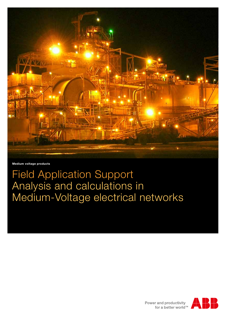

**Medium voltage products**

# Field Application Support Analysis and calculations in Medium-Voltage electrical networks

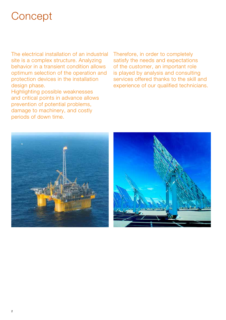# **Concept**

The electrical installation of an industrial site is a complex structure. Analyzing behavior in a transient condition allows optimum selection of the operation and protection devices in the installation design phase.

Highlighting possible weaknesses and critical points in advance allows prevention of potential problems, damage to machinery, and costly periods of down time.

Therefore, in order to completely satisfy the needs and expectations of the customer, an important role is played by analysis and consulting services offered thanks to the skill and experience of our qualified technicians.

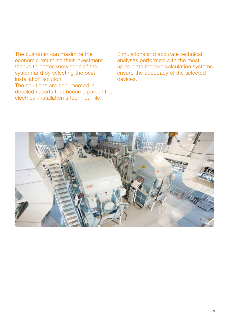The customer can maximize the economic return on their investment thanks to better knowledge of the system and by selecting the best installation solution. The solutions are documented in detailed reports that become part of the electrical installation's technical file.

Simulations and accurate technical analyses performed with the most up-to-date modern calculation systems ensure the adequacy of the selected devices.

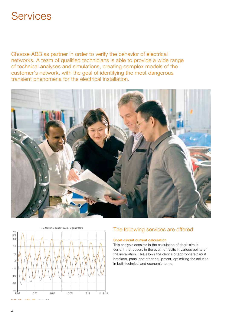### **Services**

Choose ABB as partner in order to verify the behavior of electrical networks. A team of qualified technicians is able to provide a wide range of technical analyses and simulations, creating complex models of the customer's network, with the goal of identifying the most dangerous transient phenomena for the electrical installation.





### P75: fault in D current in cb. 2 generators<br>
The following services are offered:

### Short-circuit current calculation

This analysis consists in the calculation of short-circuit current that occurs in the event of faults in various points of the installation. This allows the choice of appropriate circuit breakers, panel and other equipment, optimizing the solution in both technical and economic terms.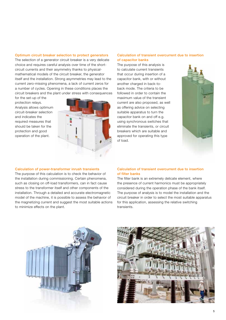#### Optimum circuit breaker selection to protect generators

The selection of a generator circuit breaker is a very delicate choice and requires careful analysis over time of the shortcircuit currents and their asymmetry thanks to physicalmathematical models of the circuit breaker, the generator itself and the installation. Strong asymmetries may lead to the current zero-missing phenomena, a lack of current zeros for a number of cycles. Opening in these conditions places the circuit breakers and the plant under stress with consequences

Calculation of power-transformer inrush transients The purpose of this calculation is to check the behavior of the installation during commissioning. Certain phenomena, such as closing on off-load transformers, can in fact cause stress to the transformer itself and other components of the installation. Through a detailed and accurate electromagnetic model of the machine, it is possible to assess the behavior of the magnetizing current and suggest the most suitable actions

for the set-up of the protection relays. Analysis allows optimum circuit-breaker selection and indicates the required measures that should be taken for the protection and good operation of the plant.

to minimize effects on the plant.



#### Calculation of transient overcurrent due to insertion of capacitor banks

The purpose of this analysis is to calculate current transients that occur during insertion of a capacitor bank, with or without another charged in back-toback mode. The criteria to be followed in order to contain the maximum value of the transient current are also proposed, as well as offering advice on selecting suitable apparatus to turn the capacitor bank on and off e.g. using synchronous switches that eliminate the transients, or circuit breakers which are suitable and approved for operating this type of load.



#### Calculation of transient overcurrent due to insertion of filter banks

The filter bank is an extremely delicate element, where the presence of current harmonics must be appropriately considered during the operation phase of the bank itself. The purpose of analysis is to model the installation and the circuit breaker in order to select the most suitable apparatus for this application, assessing the relative switching transients.



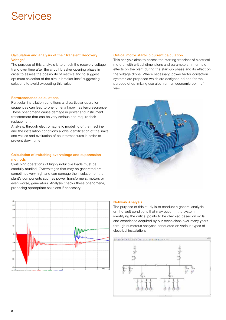# Services

#### Calculation and analysis of the "Transient Recovery Voltage"

The purpose of this analysis is to check the recovery voltage trend over time after the circuit breaker opening phase in order to assess the possibility of restrike and to suggest optimum selection of the circuit breaker itself suggesting solutions to avoid exceeding this value.

#### Ferroresonance calculations

Particular installation conditions and particular operation sequences can lead to phenomena known as ferroresonance. These phenomena cause damage in power and instrument transformers that can be very serious and require their replacement.

Analysis, through electromagnetic modeling of the machine and the installation conditions allows identification of the limits and values and evaluation of countermeasures in order to prevent down time.

#### Calculation of switching overvoltage and suppression methods

Switching operations of highly inductive loads must be carefully studied. Overvoltages that may be generated are sometimes very high and can damage the insulation on the plant's components such as power transformers, motors or even worse, generators. Analysis checks these phenomena, proposing appropriate solutions if necessary.



#### Critical motor start-up current calculation

This analysis aims to assess the starting transient of electrical motors, with critical dimensions and parameters, in terms of effects on the plant during the start-up phase and its effect on the voltage drops. Where necessary, power factor correction systems are proposed which are designed ad hoc for the purpose of optimizing use also from an economic point of view.



#### Network Analysis

The purpose of this study is to conduct a general analysis on the fault conditions that may occur in the system, identifying the critical points to be checked based on skills and experience acquired by our technicians over many years through numerous analyses conducted on various types of electrical installations.

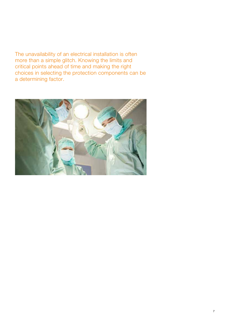The unavailability of an electrical installation is often more than a simple glitch. Knowing the limits and critical points ahead of time and making the right choices in selecting the protection components can be a determining factor.